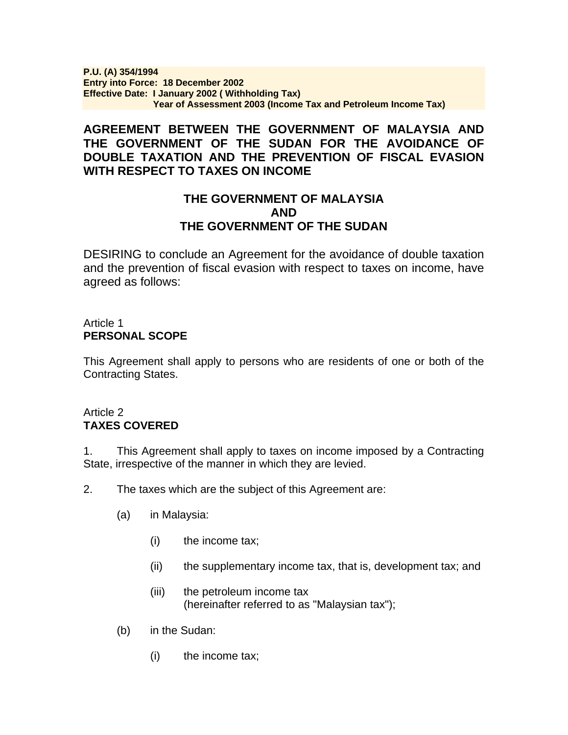#### **P.U. (A) 354/1994 Entry into Force: 18 December 2002 Effective Date: I January 2002 ( Withholding Tax) Year of Assessment 2003 (Income Tax and Petroleum Income Tax)**

# **AGREEMENT BETWEEN THE GOVERNMENT OF MALAYSIA AND THE GOVERNMENT OF THE SUDAN FOR THE AVOIDANCE OF DOUBLE TAXATION AND THE PREVENTION OF FISCAL EVASION WITH RESPECT TO TAXES ON INCOME**

# **THE GOVERNMENT OF MALAYSIA AND THE GOVERNMENT OF THE SUDAN**

DESIRING to conclude an Agreement for the avoidance of double taxation and the prevention of fiscal evasion with respect to taxes on income, have agreed as follows:

# Article 1 **PERSONAL SCOPE**

This Agreement shall apply to persons who are residents of one or both of the Contracting States.

# Article 2 **TAXES COVERED**

1. This Agreement shall apply to taxes on income imposed by a Contracting State, irrespective of the manner in which they are levied.

- 2. The taxes which are the subject of this Agreement are:
	- (a) in Malaysia:
		- (i) the income tax;
		- (ii) the supplementary income tax, that is, development tax; and
		- (iii) the petroleum income tax (hereinafter referred to as "Malaysian tax");
	- (b) in the Sudan:
		- (i) the income tax;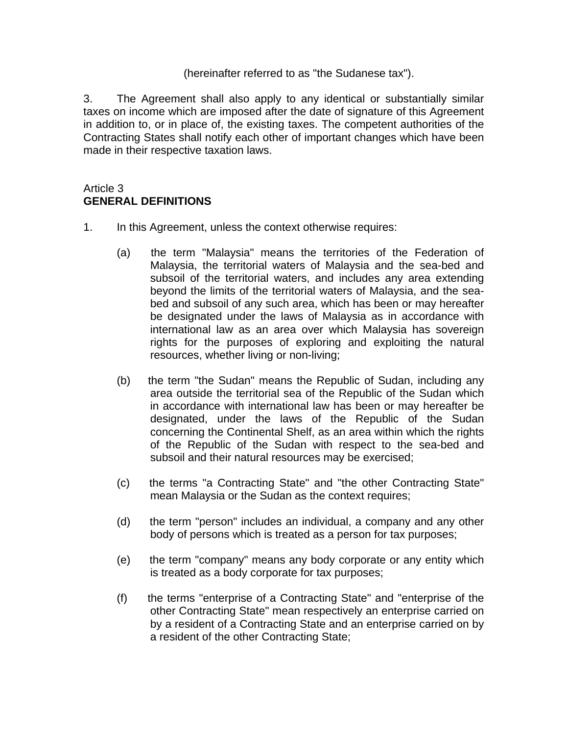#### (hereinafter referred to as "the Sudanese tax").

3. The Agreement shall also apply to any identical or substantially similar taxes on income which are imposed after the date of signature of this Agreement in addition to, or in place of, the existing taxes. The competent authorities of the Contracting States shall notify each other of important changes which have been made in their respective taxation laws.

### Article 3 **GENERAL DEFINITIONS**

- 1. In this Agreement, unless the context otherwise requires:
	- (a) the term "Malaysia" means the territories of the Federation of Malaysia, the territorial waters of Malaysia and the sea-bed and subsoil of the territorial waters, and includes any area extending beyond the limits of the territorial waters of Malaysia, and the seabed and subsoil of any such area, which has been or may hereafter be designated under the laws of Malaysia as in accordance with international law as an area over which Malaysia has sovereign rights for the purposes of exploring and exploiting the natural resources, whether living or non-living;
	- (b) the term "the Sudan" means the Republic of Sudan, including any area outside the territorial sea of the Republic of the Sudan which in accordance with international law has been or may hereafter be designated, under the laws of the Republic of the Sudan concerning the Continental Shelf, as an area within which the rights of the Republic of the Sudan with respect to the sea-bed and subsoil and their natural resources may be exercised;
	- (c) the terms "a Contracting State" and "the other Contracting State" mean Malaysia or the Sudan as the context requires;
	- (d) the term "person" includes an individual, a company and any other body of persons which is treated as a person for tax purposes;
	- (e) the term "company" means any body corporate or any entity which is treated as a body corporate for tax purposes;
	- (f) the terms "enterprise of a Contracting State" and "enterprise of the other Contracting State" mean respectively an enterprise carried on by a resident of a Contracting State and an enterprise carried on by a resident of the other Contracting State;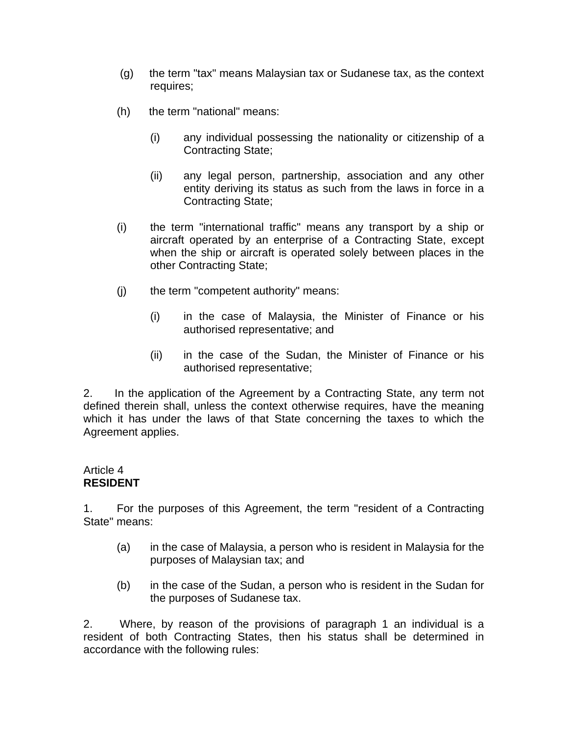- (g) the term "tax" means Malaysian tax or Sudanese tax, as the context requires;
- (h) the term "national" means:
	- (i) any individual possessing the nationality or citizenship of a Contracting State;
	- (ii) any legal person, partnership, association and any other entity deriving its status as such from the laws in force in a Contracting State;
- (i) the term "international traffic" means any transport by a ship or aircraft operated by an enterprise of a Contracting State, except when the ship or aircraft is operated solely between places in the other Contracting State;
- (j) the term "competent authority" means:
	- (i) in the case of Malaysia, the Minister of Finance or his authorised representative; and
	- (ii) in the case of the Sudan, the Minister of Finance or his authorised representative;

2. In the application of the Agreement by a Contracting State, any term not defined therein shall, unless the context otherwise requires, have the meaning which it has under the laws of that State concerning the taxes to which the Agreement applies.

#### Article 4 **RESIDENT**

1. For the purposes of this Agreement, the term "resident of a Contracting State" means:

- (a) in the case of Malaysia, a person who is resident in Malaysia for the purposes of Malaysian tax; and
- (b) in the case of the Sudan, a person who is resident in the Sudan for the purposes of Sudanese tax.

2. Where, by reason of the provisions of paragraph 1 an individual is a resident of both Contracting States, then his status shall be determined in accordance with the following rules: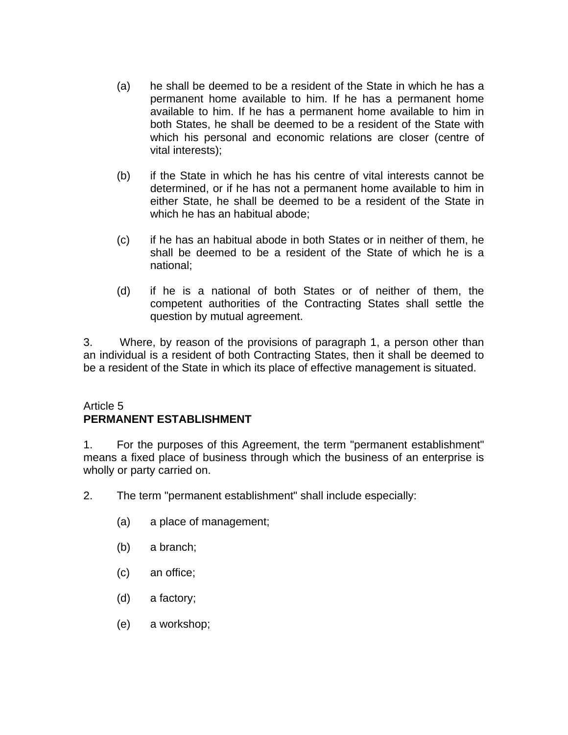- (a) he shall be deemed to be a resident of the State in which he has a permanent home available to him. If he has a permanent home available to him. If he has a permanent home available to him in both States, he shall be deemed to be a resident of the State with which his personal and economic relations are closer (centre of vital interests);
- (b) if the State in which he has his centre of vital interests cannot be determined, or if he has not a permanent home available to him in either State, he shall be deemed to be a resident of the State in which he has an habitual abode;
- (c) if he has an habitual abode in both States or in neither of them, he shall be deemed to be a resident of the State of which he is a national;
- (d) if he is a national of both States or of neither of them, the competent authorities of the Contracting States shall settle the question by mutual agreement.

3. Where, by reason of the provisions of paragraph 1, a person other than an individual is a resident of both Contracting States, then it shall be deemed to be a resident of the State in which its place of effective management is situated.

#### Article 5 **PERMANENT ESTABLISHMENT**

1. For the purposes of this Agreement, the term "permanent establishment" means a fixed place of business through which the business of an enterprise is wholly or party carried on.

- 2. The term "permanent establishment" shall include especially:
	- (a) a place of management;
	- (b) a branch;
	- (c) an office;
	- (d) a factory;
	- (e) a workshop;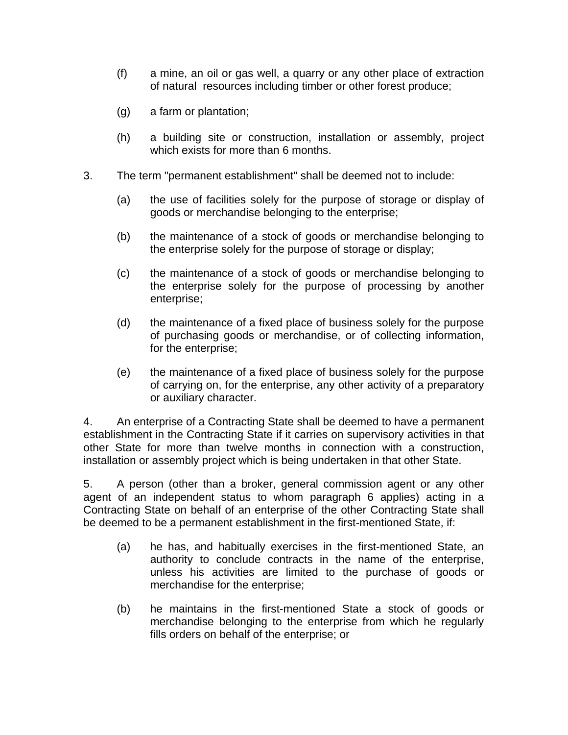- (f) a mine, an oil or gas well, a quarry or any other place of extraction of natural resources including timber or other forest produce;
- (g) a farm or plantation;
- (h) a building site or construction, installation or assembly, project which exists for more than 6 months.
- 3. The term "permanent establishment" shall be deemed not to include:
	- (a) the use of facilities solely for the purpose of storage or display of goods or merchandise belonging to the enterprise;
	- (b) the maintenance of a stock of goods or merchandise belonging to the enterprise solely for the purpose of storage or display;
	- (c) the maintenance of a stock of goods or merchandise belonging to the enterprise solely for the purpose of processing by another enterprise;
	- (d) the maintenance of a fixed place of business solely for the purpose of purchasing goods or merchandise, or of collecting information, for the enterprise;
	- (e) the maintenance of a fixed place of business solely for the purpose of carrying on, for the enterprise, any other activity of a preparatory or auxiliary character.

4. An enterprise of a Contracting State shall be deemed to have a permanent establishment in the Contracting State if it carries on supervisory activities in that other State for more than twelve months in connection with a construction, installation or assembly project which is being undertaken in that other State.

5. A person (other than a broker, general commission agent or any other agent of an independent status to whom paragraph 6 applies) acting in a Contracting State on behalf of an enterprise of the other Contracting State shall be deemed to be a permanent establishment in the first-mentioned State, if:

- (a) he has, and habitually exercises in the first-mentioned State, an authority to conclude contracts in the name of the enterprise, unless his activities are limited to the purchase of goods or merchandise for the enterprise;
- (b) he maintains in the first-mentioned State a stock of goods or merchandise belonging to the enterprise from which he regularly fills orders on behalf of the enterprise; or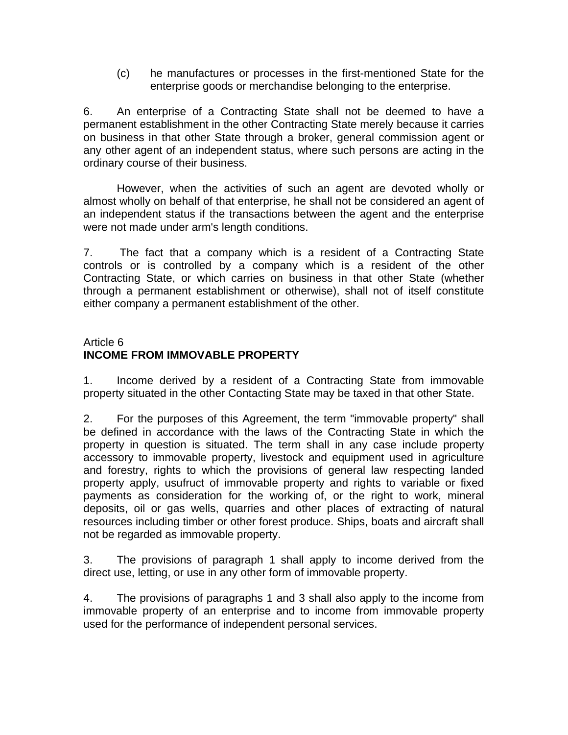(c) he manufactures or processes in the first-mentioned State for the enterprise goods or merchandise belonging to the enterprise.

6. An enterprise of a Contracting State shall not be deemed to have a permanent establishment in the other Contracting State merely because it carries on business in that other State through a broker, general commission agent or any other agent of an independent status, where such persons are acting in the ordinary course of their business.

However, when the activities of such an agent are devoted wholly or almost wholly on behalf of that enterprise, he shall not be considered an agent of an independent status if the transactions between the agent and the enterprise were not made under arm's length conditions.

7. The fact that a company which is a resident of a Contracting State controls or is controlled by a company which is a resident of the other Contracting State, or which carries on business in that other State (whether through a permanent establishment or otherwise), shall not of itself constitute either company a permanent establishment of the other.

# Article 6 **INCOME FROM IMMOVABLE PROPERTY**

1. Income derived by a resident of a Contracting State from immovable property situated in the other Contacting State may be taxed in that other State.

2. For the purposes of this Agreement, the term "immovable property" shall be defined in accordance with the laws of the Contracting State in which the property in question is situated. The term shall in any case include property accessory to immovable property, livestock and equipment used in agriculture and forestry, rights to which the provisions of general law respecting landed property apply, usufruct of immovable property and rights to variable or fixed payments as consideration for the working of, or the right to work, mineral deposits, oil or gas wells, quarries and other places of extracting of natural resources including timber or other forest produce. Ships, boats and aircraft shall not be regarded as immovable property.

3. The provisions of paragraph 1 shall apply to income derived from the direct use, letting, or use in any other form of immovable property.

4. The provisions of paragraphs 1 and 3 shall also apply to the income from immovable property of an enterprise and to income from immovable property used for the performance of independent personal services.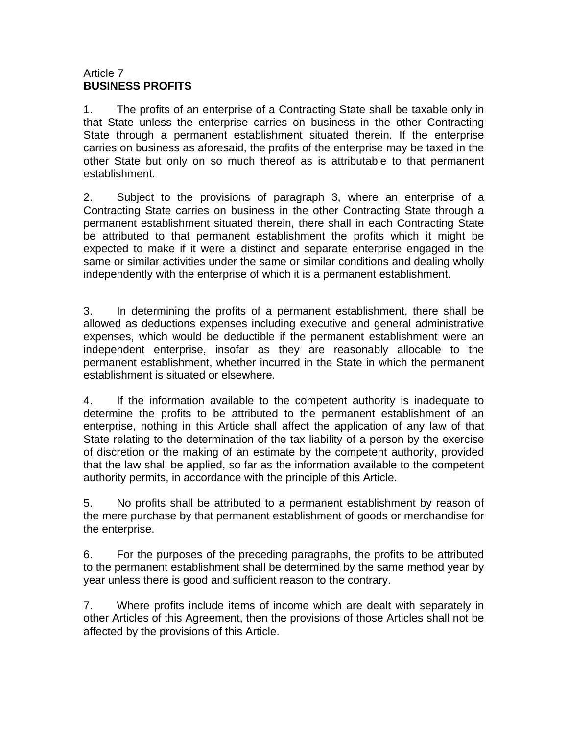#### Article 7 **BUSINESS PROFITS**

1. The profits of an enterprise of a Contracting State shall be taxable only in that State unless the enterprise carries on business in the other Contracting State through a permanent establishment situated therein. If the enterprise carries on business as aforesaid, the profits of the enterprise may be taxed in the other State but only on so much thereof as is attributable to that permanent establishment.

2. Subject to the provisions of paragraph 3, where an enterprise of a Contracting State carries on business in the other Contracting State through a permanent establishment situated therein, there shall in each Contracting State be attributed to that permanent establishment the profits which it might be expected to make if it were a distinct and separate enterprise engaged in the same or similar activities under the same or similar conditions and dealing wholly independently with the enterprise of which it is a permanent establishment.

3. In determining the profits of a permanent establishment, there shall be allowed as deductions expenses including executive and general administrative expenses, which would be deductible if the permanent establishment were an independent enterprise, insofar as they are reasonably allocable to the permanent establishment, whether incurred in the State in which the permanent establishment is situated or elsewhere.

4. If the information available to the competent authority is inadequate to determine the profits to be attributed to the permanent establishment of an enterprise, nothing in this Article shall affect the application of any law of that State relating to the determination of the tax liability of a person by the exercise of discretion or the making of an estimate by the competent authority, provided that the law shall be applied, so far as the information available to the competent authority permits, in accordance with the principle of this Article.

5. No profits shall be attributed to a permanent establishment by reason of the mere purchase by that permanent establishment of goods or merchandise for the enterprise.

6. For the purposes of the preceding paragraphs, the profits to be attributed to the permanent establishment shall be determined by the same method year by year unless there is good and sufficient reason to the contrary.

7. Where profits include items of income which are dealt with separately in other Articles of this Agreement, then the provisions of those Articles shall not be affected by the provisions of this Article.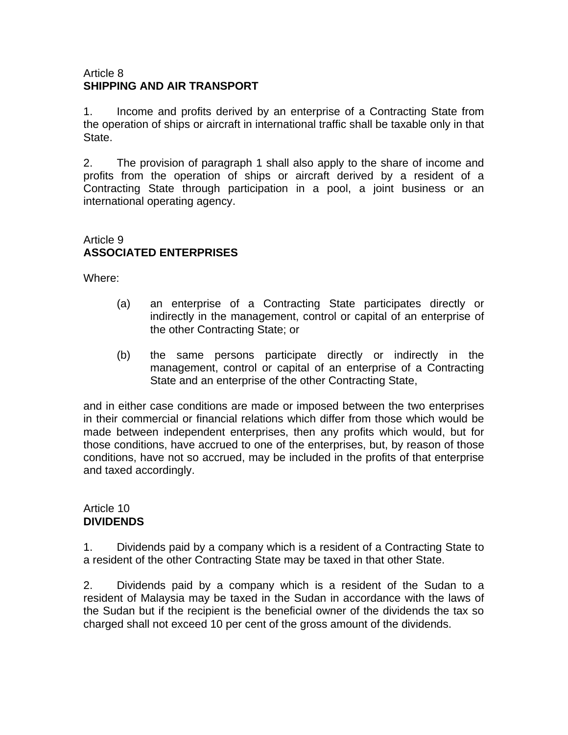#### Article 8 **SHIPPING AND AIR TRANSPORT**

1. Income and profits derived by an enterprise of a Contracting State from the operation of ships or aircraft in international traffic shall be taxable only in that State.

2. The provision of paragraph 1 shall also apply to the share of income and profits from the operation of ships or aircraft derived by a resident of a Contracting State through participation in a pool, a joint business or an international operating agency.

### Article 9 **ASSOCIATED ENTERPRISES**

Where:

- (a) an enterprise of a Contracting State participates directly or indirectly in the management, control or capital of an enterprise of the other Contracting State; or
- (b) the same persons participate directly or indirectly in the management, control or capital of an enterprise of a Contracting State and an enterprise of the other Contracting State,

and in either case conditions are made or imposed between the two enterprises in their commercial or financial relations which differ from those which would be made between independent enterprises, then any profits which would, but for those conditions, have accrued to one of the enterprises, but, by reason of those conditions, have not so accrued, may be included in the profits of that enterprise and taxed accordingly.

# Article 10 **DIVIDENDS**

1. Dividends paid by a company which is a resident of a Contracting State to a resident of the other Contracting State may be taxed in that other State.

2. Dividends paid by a company which is a resident of the Sudan to a resident of Malaysia may be taxed in the Sudan in accordance with the laws of the Sudan but if the recipient is the beneficial owner of the dividends the tax so charged shall not exceed 10 per cent of the gross amount of the dividends.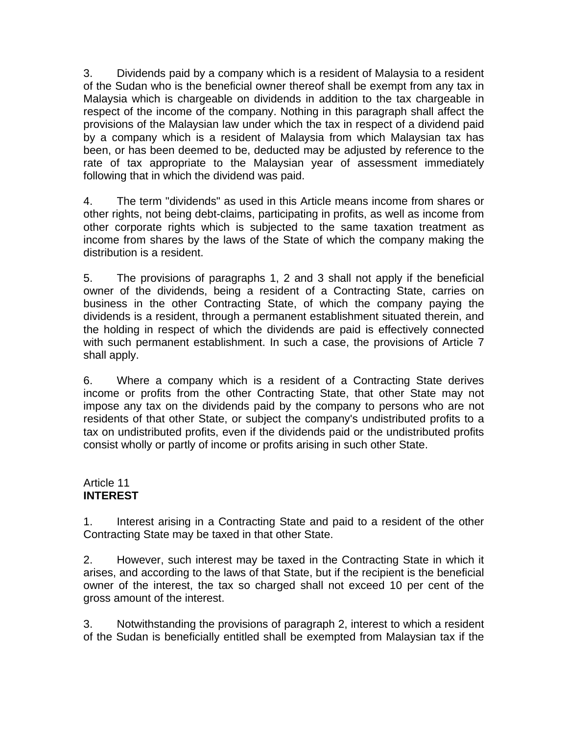3. Dividends paid by a company which is a resident of Malaysia to a resident of the Sudan who is the beneficial owner thereof shall be exempt from any tax in Malaysia which is chargeable on dividends in addition to the tax chargeable in respect of the income of the company. Nothing in this paragraph shall affect the provisions of the Malaysian law under which the tax in respect of a dividend paid by a company which is a resident of Malaysia from which Malaysian tax has been, or has been deemed to be, deducted may be adjusted by reference to the rate of tax appropriate to the Malaysian year of assessment immediately following that in which the dividend was paid.

4. The term "dividends" as used in this Article means income from shares or other rights, not being debt-claims, participating in profits, as well as income from other corporate rights which is subjected to the same taxation treatment as income from shares by the laws of the State of which the company making the distribution is a resident.

5. The provisions of paragraphs 1, 2 and 3 shall not apply if the beneficial owner of the dividends, being a resident of a Contracting State, carries on business in the other Contracting State, of which the company paying the dividends is a resident, through a permanent establishment situated therein, and the holding in respect of which the dividends are paid is effectively connected with such permanent establishment. In such a case, the provisions of Article 7 shall apply.

6. Where a company which is a resident of a Contracting State derives income or profits from the other Contracting State, that other State may not impose any tax on the dividends paid by the company to persons who are not residents of that other State, or subject the company's undistributed profits to a tax on undistributed profits, even if the dividends paid or the undistributed profits consist wholly or partly of income or profits arising in such other State.

### Article 11 **INTEREST**

1. Interest arising in a Contracting State and paid to a resident of the other Contracting State may be taxed in that other State.

2. However, such interest may be taxed in the Contracting State in which it arises, and according to the laws of that State, but if the recipient is the beneficial owner of the interest, the tax so charged shall not exceed 10 per cent of the gross amount of the interest.

3. Notwithstanding the provisions of paragraph 2, interest to which a resident of the Sudan is beneficially entitled shall be exempted from Malaysian tax if the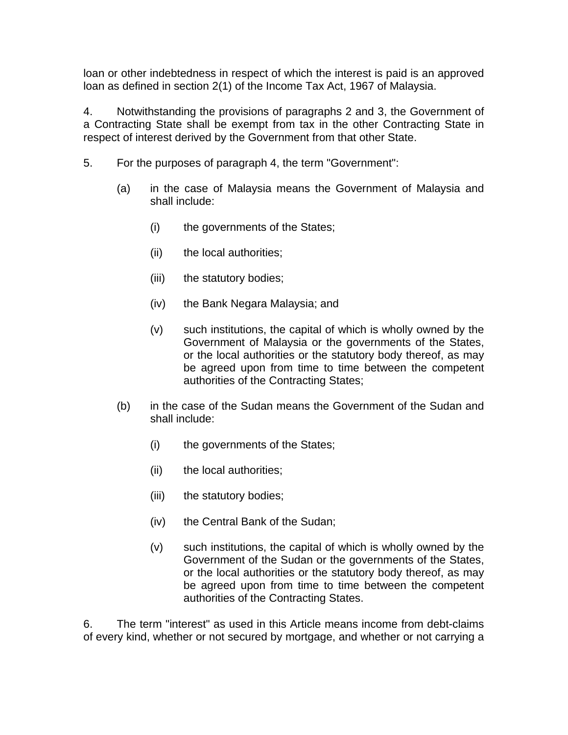loan or other indebtedness in respect of which the interest is paid is an approved loan as defined in section 2(1) of the Income Tax Act, 1967 of Malaysia.

4. Notwithstanding the provisions of paragraphs 2 and 3, the Government of a Contracting State shall be exempt from tax in the other Contracting State in respect of interest derived by the Government from that other State.

- 5. For the purposes of paragraph 4, the term "Government":
	- (a) in the case of Malaysia means the Government of Malaysia and shall include:
		- (i) the governments of the States;
		- (ii) the local authorities;
		- (iii) the statutory bodies;
		- (iv) the Bank Negara Malaysia; and
		- (v) such institutions, the capital of which is wholly owned by the Government of Malaysia or the governments of the States, or the local authorities or the statutory body thereof, as may be agreed upon from time to time between the competent authorities of the Contracting States;
	- (b) in the case of the Sudan means the Government of the Sudan and shall include:
		- (i) the governments of the States;
		- (ii) the local authorities;
		- (iii) the statutory bodies;
		- (iv) the Central Bank of the Sudan;
		- (v) such institutions, the capital of which is wholly owned by the Government of the Sudan or the governments of the States, or the local authorities or the statutory body thereof, as may be agreed upon from time to time between the competent authorities of the Contracting States.

6. The term "interest" as used in this Article means income from debt-claims of every kind, whether or not secured by mortgage, and whether or not carrying a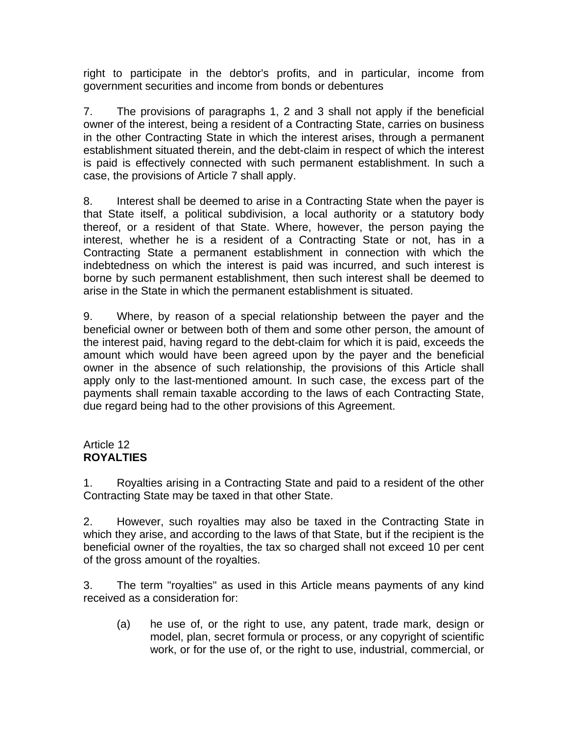right to participate in the debtor's profits, and in particular, income from government securities and income from bonds or debentures

7. The provisions of paragraphs 1, 2 and 3 shall not apply if the beneficial owner of the interest, being a resident of a Contracting State, carries on business in the other Contracting State in which the interest arises, through a permanent establishment situated therein, and the debt-claim in respect of which the interest is paid is effectively connected with such permanent establishment. In such a case, the provisions of Article 7 shall apply.

8. Interest shall be deemed to arise in a Contracting State when the payer is that State itself, a political subdivision, a local authority or a statutory body thereof, or a resident of that State. Where, however, the person paying the interest, whether he is a resident of a Contracting State or not, has in a Contracting State a permanent establishment in connection with which the indebtedness on which the interest is paid was incurred, and such interest is borne by such permanent establishment, then such interest shall be deemed to arise in the State in which the permanent establishment is situated.

9. Where, by reason of a special relationship between the payer and the beneficial owner or between both of them and some other person, the amount of the interest paid, having regard to the debt-claim for which it is paid, exceeds the amount which would have been agreed upon by the payer and the beneficial owner in the absence of such relationship, the provisions of this Article shall apply only to the last-mentioned amount. In such case, the excess part of the payments shall remain taxable according to the laws of each Contracting State, due regard being had to the other provisions of this Agreement.

# Article 12 **ROYALTIES**

1. Royalties arising in a Contracting State and paid to a resident of the other Contracting State may be taxed in that other State.

2. However, such royalties may also be taxed in the Contracting State in which they arise, and according to the laws of that State, but if the recipient is the beneficial owner of the royalties, the tax so charged shall not exceed 10 per cent of the gross amount of the royalties.

3. The term "royalties" as used in this Article means payments of any kind received as a consideration for:

(a) he use of, or the right to use, any patent, trade mark, design or model, plan, secret formula or process, or any copyright of scientific work, or for the use of, or the right to use, industrial, commercial, or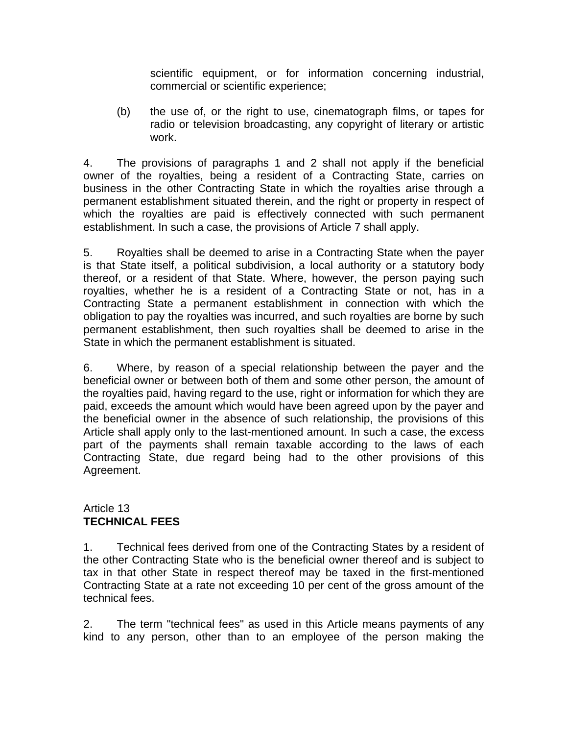scientific equipment, or for information concerning industrial, commercial or scientific experience;

(b) the use of, or the right to use, cinematograph films, or tapes for radio or television broadcasting, any copyright of literary or artistic work.

4. The provisions of paragraphs 1 and 2 shall not apply if the beneficial owner of the royalties, being a resident of a Contracting State, carries on business in the other Contracting State in which the royalties arise through a permanent establishment situated therein, and the right or property in respect of which the royalties are paid is effectively connected with such permanent establishment. In such a case, the provisions of Article 7 shall apply.

5. Royalties shall be deemed to arise in a Contracting State when the payer is that State itself, a political subdivision, a local authority or a statutory body thereof, or a resident of that State. Where, however, the person paying such royalties, whether he is a resident of a Contracting State or not, has in a Contracting State a permanent establishment in connection with which the obligation to pay the royalties was incurred, and such royalties are borne by such permanent establishment, then such royalties shall be deemed to arise in the State in which the permanent establishment is situated.

6. Where, by reason of a special relationship between the payer and the beneficial owner or between both of them and some other person, the amount of the royalties paid, having regard to the use, right or information for which they are paid, exceeds the amount which would have been agreed upon by the payer and the beneficial owner in the absence of such relationship, the provisions of this Article shall apply only to the last-mentioned amount. In such a case, the excess part of the payments shall remain taxable according to the laws of each Contracting State, due regard being had to the other provisions of this Agreement.

# Article 13 **TECHNICAL FEES**

1. Technical fees derived from one of the Contracting States by a resident of the other Contracting State who is the beneficial owner thereof and is subject to tax in that other State in respect thereof may be taxed in the first-mentioned Contracting State at a rate not exceeding 10 per cent of the gross amount of the technical fees.

2. The term "technical fees" as used in this Article means payments of any kind to any person, other than to an employee of the person making the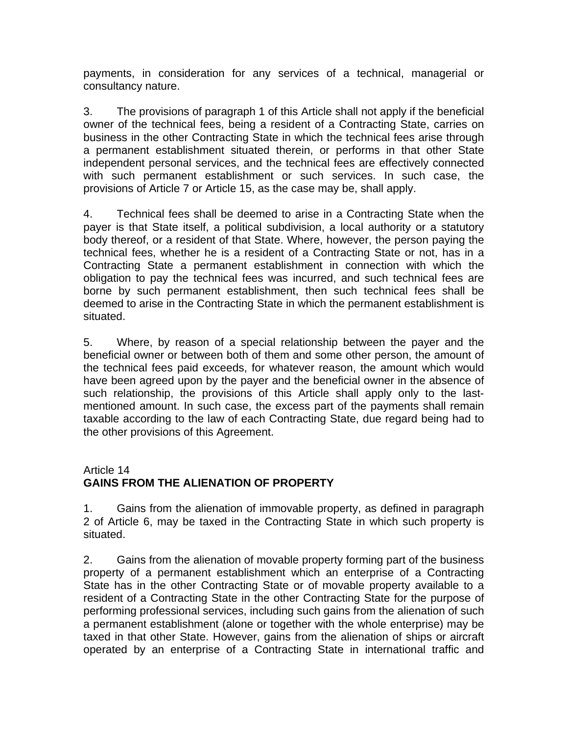payments, in consideration for any services of a technical, managerial or consultancy nature.

3. The provisions of paragraph 1 of this Article shall not apply if the beneficial owner of the technical fees, being a resident of a Contracting State, carries on business in the other Contracting State in which the technical fees arise through a permanent establishment situated therein, or performs in that other State independent personal services, and the technical fees are effectively connected with such permanent establishment or such services. In such case, the provisions of Article 7 or Article 15, as the case may be, shall apply.

4. Technical fees shall be deemed to arise in a Contracting State when the payer is that State itself, a political subdivision, a local authority or a statutory body thereof, or a resident of that State. Where, however, the person paying the technical fees, whether he is a resident of a Contracting State or not, has in a Contracting State a permanent establishment in connection with which the obligation to pay the technical fees was incurred, and such technical fees are borne by such permanent establishment, then such technical fees shall be deemed to arise in the Contracting State in which the permanent establishment is situated.

5. Where, by reason of a special relationship between the payer and the beneficial owner or between both of them and some other person, the amount of the technical fees paid exceeds, for whatever reason, the amount which would have been agreed upon by the payer and the beneficial owner in the absence of such relationship, the provisions of this Article shall apply only to the lastmentioned amount. In such case, the excess part of the payments shall remain taxable according to the law of each Contracting State, due regard being had to the other provisions of this Agreement.

# Article 14

# **GAINS FROM THE ALIENATION OF PROPERTY**

1. Gains from the alienation of immovable property, as defined in paragraph 2 of Article 6, may be taxed in the Contracting State in which such property is situated.

2. Gains from the alienation of movable property forming part of the business property of a permanent establishment which an enterprise of a Contracting State has in the other Contracting State or of movable property available to a resident of a Contracting State in the other Contracting State for the purpose of performing professional services, including such gains from the alienation of such a permanent establishment (alone or together with the whole enterprise) may be taxed in that other State. However, gains from the alienation of ships or aircraft operated by an enterprise of a Contracting State in international traffic and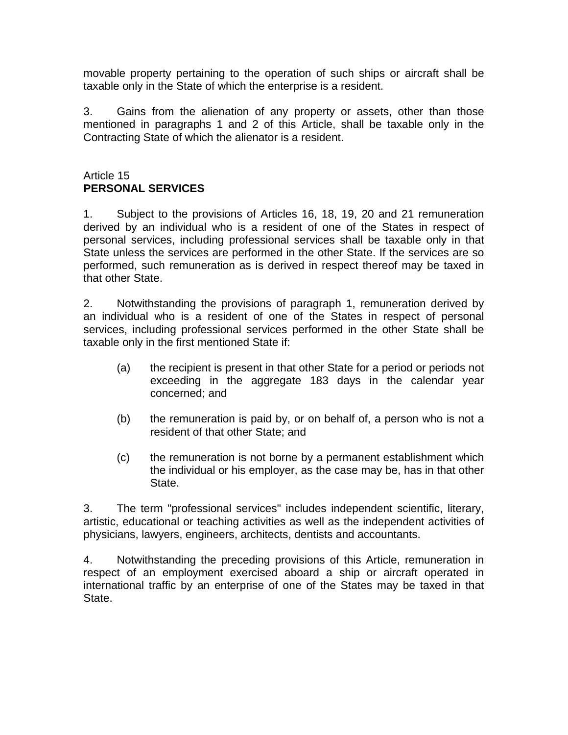movable property pertaining to the operation of such ships or aircraft shall be taxable only in the State of which the enterprise is a resident.

3. Gains from the alienation of any property or assets, other than those mentioned in paragraphs 1 and 2 of this Article, shall be taxable only in the Contracting State of which the alienator is a resident.

#### Article 15 **PERSONAL SERVICES**

1. Subject to the provisions of Articles 16, 18, 19, 20 and 21 remuneration derived by an individual who is a resident of one of the States in respect of personal services, including professional services shall be taxable only in that State unless the services are performed in the other State. If the services are so performed, such remuneration as is derived in respect thereof may be taxed in that other State.

2. Notwithstanding the provisions of paragraph 1, remuneration derived by an individual who is a resident of one of the States in respect of personal services, including professional services performed in the other State shall be taxable only in the first mentioned State if:

- (a) the recipient is present in that other State for a period or periods not exceeding in the aggregate 183 days in the calendar year concerned; and
- (b) the remuneration is paid by, or on behalf of, a person who is not a resident of that other State; and
- (c) the remuneration is not borne by a permanent establishment which the individual or his employer, as the case may be, has in that other State.

3. The term "professional services" includes independent scientific, literary, artistic, educational or teaching activities as well as the independent activities of physicians, lawyers, engineers, architects, dentists and accountants.

4. Notwithstanding the preceding provisions of this Article, remuneration in respect of an employment exercised aboard a ship or aircraft operated in international traffic by an enterprise of one of the States may be taxed in that State.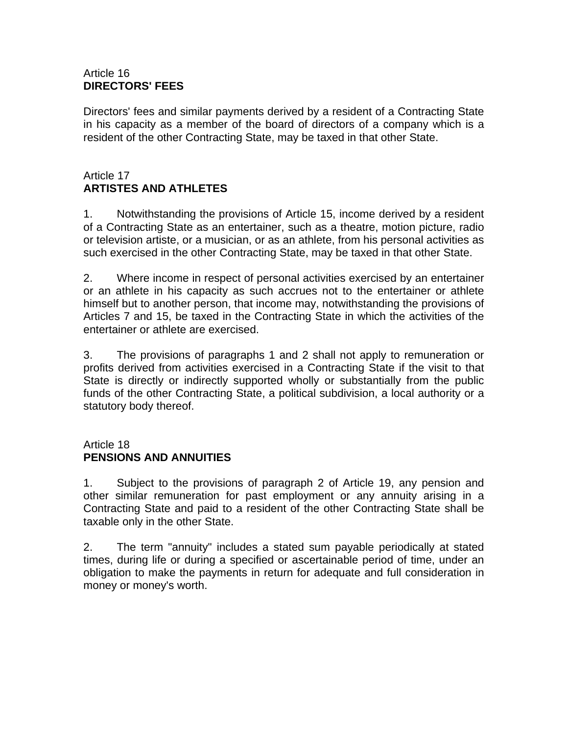### Article 16 **DIRECTORS' FEES**

Directors' fees and similar payments derived by a resident of a Contracting State in his capacity as a member of the board of directors of a company which is a resident of the other Contracting State, may be taxed in that other State.

#### Article 17 **ARTISTES AND ATHLETES**

1. Notwithstanding the provisions of Article 15, income derived by a resident of a Contracting State as an entertainer, such as a theatre, motion picture, radio or television artiste, or a musician, or as an athlete, from his personal activities as such exercised in the other Contracting State, may be taxed in that other State.

2. Where income in respect of personal activities exercised by an entertainer or an athlete in his capacity as such accrues not to the entertainer or athlete himself but to another person, that income may, notwithstanding the provisions of Articles 7 and 15, be taxed in the Contracting State in which the activities of the entertainer or athlete are exercised.

3. The provisions of paragraphs 1 and 2 shall not apply to remuneration or profits derived from activities exercised in a Contracting State if the visit to that State is directly or indirectly supported wholly or substantially from the public funds of the other Contracting State, a political subdivision, a local authority or a statutory body thereof.

# Article 18 **PENSIONS AND ANNUITIES**

1. Subject to the provisions of paragraph 2 of Article 19, any pension and other similar remuneration for past employment or any annuity arising in a Contracting State and paid to a resident of the other Contracting State shall be taxable only in the other State.

2. The term "annuity" includes a stated sum payable periodically at stated times, during life or during a specified or ascertainable period of time, under an obligation to make the payments in return for adequate and full consideration in money or money's worth.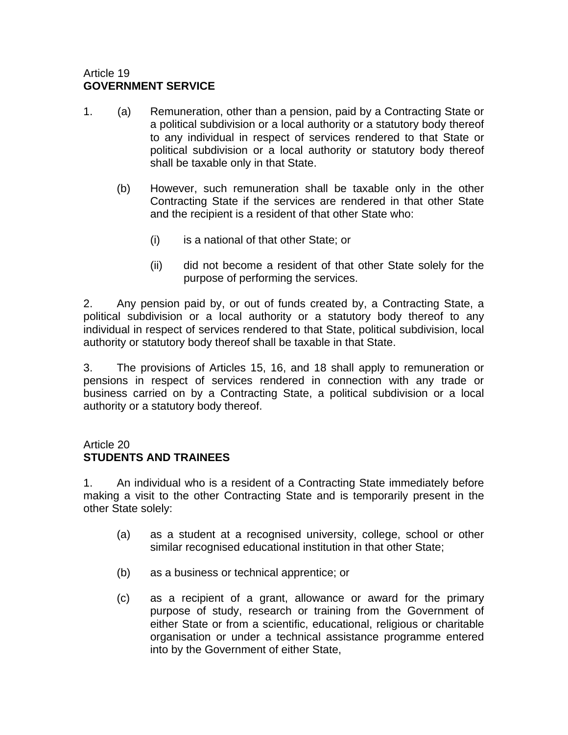#### Article 19 **GOVERNMENT SERVICE**

- 1. (a) Remuneration, other than a pension, paid by a Contracting State or a political subdivision or a local authority or a statutory body thereof to any individual in respect of services rendered to that State or political subdivision or a local authority or statutory body thereof shall be taxable only in that State.
	- (b) However, such remuneration shall be taxable only in the other Contracting State if the services are rendered in that other State and the recipient is a resident of that other State who:
		- (i) is a national of that other State; or
		- (ii) did not become a resident of that other State solely for the purpose of performing the services.

2. Any pension paid by, or out of funds created by, a Contracting State, a political subdivision or a local authority or a statutory body thereof to any individual in respect of services rendered to that State, political subdivision, local authority or statutory body thereof shall be taxable in that State.

3. The provisions of Articles 15, 16, and 18 shall apply to remuneration or pensions in respect of services rendered in connection with any trade or business carried on by a Contracting State, a political subdivision or a local authority or a statutory body thereof.

# Article 20

# **STUDENTS AND TRAINEES**

1. An individual who is a resident of a Contracting State immediately before making a visit to the other Contracting State and is temporarily present in the other State solely:

- (a) as a student at a recognised university, college, school or other similar recognised educational institution in that other State;
- (b) as a business or technical apprentice; or
- (c) as a recipient of a grant, allowance or award for the primary purpose of study, research or training from the Government of either State or from a scientific, educational, religious or charitable organisation or under a technical assistance programme entered into by the Government of either State,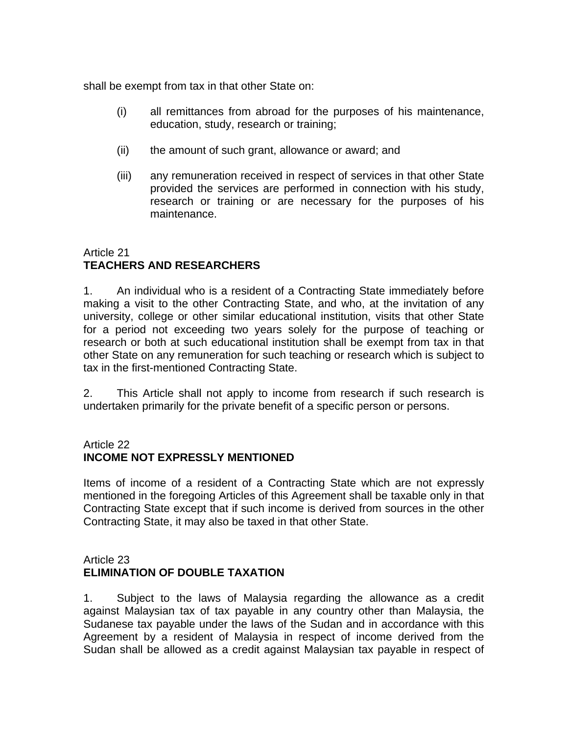shall be exempt from tax in that other State on:

- (i) all remittances from abroad for the purposes of his maintenance, education, study, research or training;
- (ii) the amount of such grant, allowance or award; and
- (iii) any remuneration received in respect of services in that other State provided the services are performed in connection with his study, research or training or are necessary for the purposes of his maintenance.

### Article 21 **TEACHERS AND RESEARCHERS**

1. An individual who is a resident of a Contracting State immediately before making a visit to the other Contracting State, and who, at the invitation of any university, college or other similar educational institution, visits that other State for a period not exceeding two years solely for the purpose of teaching or research or both at such educational institution shall be exempt from tax in that other State on any remuneration for such teaching or research which is subject to tax in the first-mentioned Contracting State.

2. This Article shall not apply to income from research if such research is undertaken primarily for the private benefit of a specific person or persons.

#### Article 22

# **INCOME NOT EXPRESSLY MENTIONED**

Items of income of a resident of a Contracting State which are not expressly mentioned in the foregoing Articles of this Agreement shall be taxable only in that Contracting State except that if such income is derived from sources in the other Contracting State, it may also be taxed in that other State.

### Article 23 **ELIMINATION OF DOUBLE TAXATION**

1. Subject to the laws of Malaysia regarding the allowance as a credit against Malaysian tax of tax payable in any country other than Malaysia, the Sudanese tax payable under the laws of the Sudan and in accordance with this Agreement by a resident of Malaysia in respect of income derived from the Sudan shall be allowed as a credit against Malaysian tax payable in respect of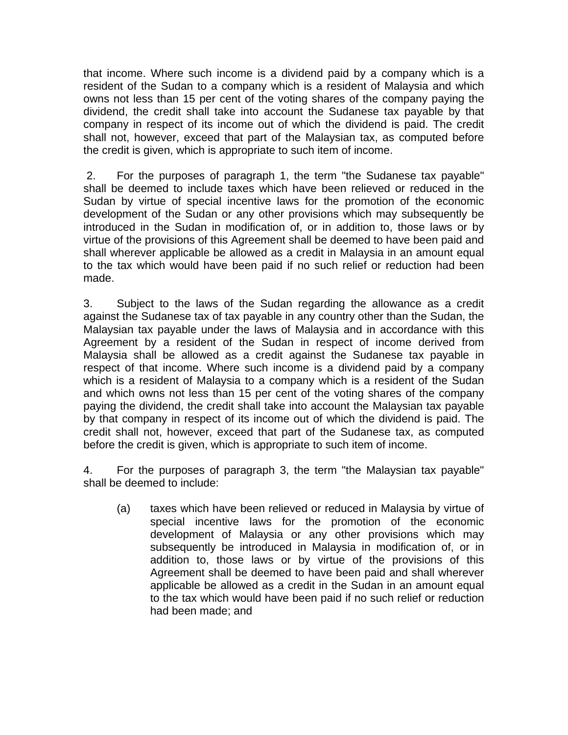that income. Where such income is a dividend paid by a company which is a resident of the Sudan to a company which is a resident of Malaysia and which owns not less than 15 per cent of the voting shares of the company paying the dividend, the credit shall take into account the Sudanese tax payable by that company in respect of its income out of which the dividend is paid. The credit shall not, however, exceed that part of the Malaysian tax, as computed before the credit is given, which is appropriate to such item of income.

 2. For the purposes of paragraph 1, the term "the Sudanese tax payable" shall be deemed to include taxes which have been relieved or reduced in the Sudan by virtue of special incentive laws for the promotion of the economic development of the Sudan or any other provisions which may subsequently be introduced in the Sudan in modification of, or in addition to, those laws or by virtue of the provisions of this Agreement shall be deemed to have been paid and shall wherever applicable be allowed as a credit in Malaysia in an amount equal to the tax which would have been paid if no such relief or reduction had been made.

3. Subject to the laws of the Sudan regarding the allowance as a credit against the Sudanese tax of tax payable in any country other than the Sudan, the Malaysian tax payable under the laws of Malaysia and in accordance with this Agreement by a resident of the Sudan in respect of income derived from Malaysia shall be allowed as a credit against the Sudanese tax payable in respect of that income. Where such income is a dividend paid by a company which is a resident of Malaysia to a company which is a resident of the Sudan and which owns not less than 15 per cent of the voting shares of the company paying the dividend, the credit shall take into account the Malaysian tax payable by that company in respect of its income out of which the dividend is paid. The credit shall not, however, exceed that part of the Sudanese tax, as computed before the credit is given, which is appropriate to such item of income.

4. For the purposes of paragraph 3, the term "the Malaysian tax payable" shall be deemed to include:

(a) taxes which have been relieved or reduced in Malaysia by virtue of special incentive laws for the promotion of the economic development of Malaysia or any other provisions which may subsequently be introduced in Malaysia in modification of, or in addition to, those laws or by virtue of the provisions of this Agreement shall be deemed to have been paid and shall wherever applicable be allowed as a credit in the Sudan in an amount equal to the tax which would have been paid if no such relief or reduction had been made; and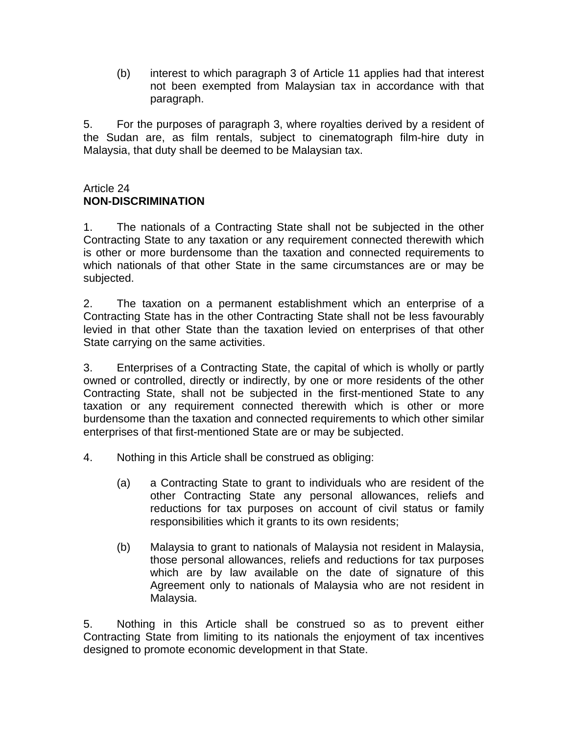(b) interest to which paragraph 3 of Article 11 applies had that interest not been exempted from Malaysian tax in accordance with that paragraph.

5. For the purposes of paragraph 3, where royalties derived by a resident of the Sudan are, as film rentals, subject to cinematograph film-hire duty in Malaysia, that duty shall be deemed to be Malaysian tax.

### Article 24 **NON-DISCRIMINATION**

1. The nationals of a Contracting State shall not be subjected in the other Contracting State to any taxation or any requirement connected therewith which is other or more burdensome than the taxation and connected requirements to which nationals of that other State in the same circumstances are or may be subjected.

2. The taxation on a permanent establishment which an enterprise of a Contracting State has in the other Contracting State shall not be less favourably levied in that other State than the taxation levied on enterprises of that other State carrying on the same activities.

3. Enterprises of a Contracting State, the capital of which is wholly or partly owned or controlled, directly or indirectly, by one or more residents of the other Contracting State, shall not be subjected in the first-mentioned State to any taxation or any requirement connected therewith which is other or more burdensome than the taxation and connected requirements to which other similar enterprises of that first-mentioned State are or may be subjected.

- 4. Nothing in this Article shall be construed as obliging:
	- (a) a Contracting State to grant to individuals who are resident of the other Contracting State any personal allowances, reliefs and reductions for tax purposes on account of civil status or family responsibilities which it grants to its own residents;
	- (b) Malaysia to grant to nationals of Malaysia not resident in Malaysia, those personal allowances, reliefs and reductions for tax purposes which are by law available on the date of signature of this Agreement only to nationals of Malaysia who are not resident in Malaysia.

5. Nothing in this Article shall be construed so as to prevent either Contracting State from limiting to its nationals the enjoyment of tax incentives designed to promote economic development in that State.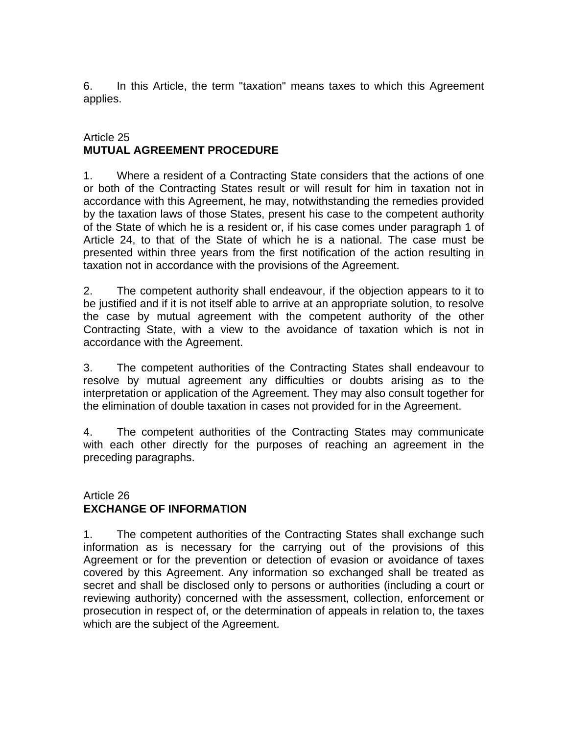6. In this Article, the term "taxation" means taxes to which this Agreement applies.

### Article 25 **MUTUAL AGREEMENT PROCEDURE**

1. Where a resident of a Contracting State considers that the actions of one or both of the Contracting States result or will result for him in taxation not in accordance with this Agreement, he may, notwithstanding the remedies provided by the taxation laws of those States, present his case to the competent authority of the State of which he is a resident or, if his case comes under paragraph 1 of Article 24, to that of the State of which he is a national. The case must be presented within three years from the first notification of the action resulting in taxation not in accordance with the provisions of the Agreement.

2. The competent authority shall endeavour, if the objection appears to it to be justified and if it is not itself able to arrive at an appropriate solution, to resolve the case by mutual agreement with the competent authority of the other Contracting State, with a view to the avoidance of taxation which is not in accordance with the Agreement.

3. The competent authorities of the Contracting States shall endeavour to resolve by mutual agreement any difficulties or doubts arising as to the interpretation or application of the Agreement. They may also consult together for the elimination of double taxation in cases not provided for in the Agreement.

4. The competent authorities of the Contracting States may communicate with each other directly for the purposes of reaching an agreement in the preceding paragraphs.

### Article 26 **EXCHANGE OF INFORMATION**

1. The competent authorities of the Contracting States shall exchange such information as is necessary for the carrying out of the provisions of this Agreement or for the prevention or detection of evasion or avoidance of taxes covered by this Agreement. Any information so exchanged shall be treated as secret and shall be disclosed only to persons or authorities (including a court or reviewing authority) concerned with the assessment, collection, enforcement or prosecution in respect of, or the determination of appeals in relation to, the taxes which are the subject of the Agreement.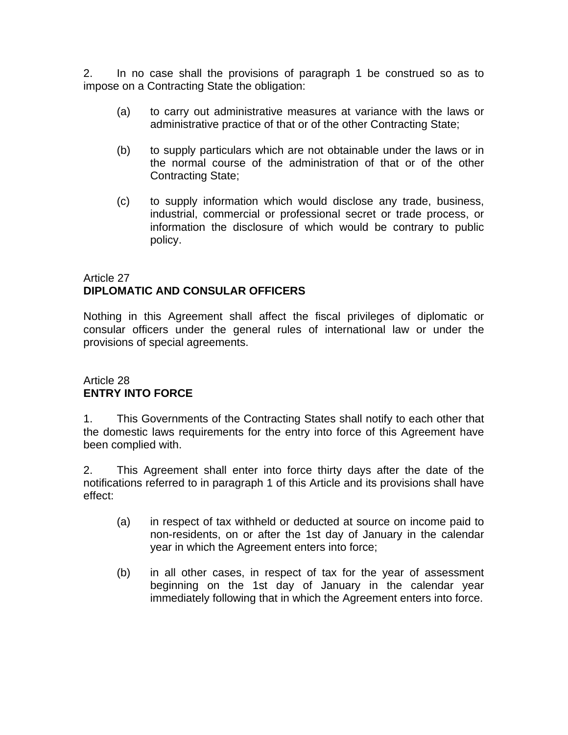2. In no case shall the provisions of paragraph 1 be construed so as to impose on a Contracting State the obligation:

- (a) to carry out administrative measures at variance with the laws or administrative practice of that or of the other Contracting State;
- (b) to supply particulars which are not obtainable under the laws or in the normal course of the administration of that or of the other Contracting State;
- (c) to supply information which would disclose any trade, business, industrial, commercial or professional secret or trade process, or information the disclosure of which would be contrary to public policy.

### Article 27 **DIPLOMATIC AND CONSULAR OFFICERS**

Nothing in this Agreement shall affect the fiscal privileges of diplomatic or consular officers under the general rules of international law or under the provisions of special agreements.

### Article 28 **ENTRY INTO FORCE**

1. This Governments of the Contracting States shall notify to each other that the domestic laws requirements for the entry into force of this Agreement have been complied with.

2. This Agreement shall enter into force thirty days after the date of the notifications referred to in paragraph 1 of this Article and its provisions shall have effect:

- (a) in respect of tax withheld or deducted at source on income paid to non-residents, on or after the 1st day of January in the calendar year in which the Agreement enters into force;
- (b) in all other cases, in respect of tax for the year of assessment beginning on the 1st day of January in the calendar year immediately following that in which the Agreement enters into force.